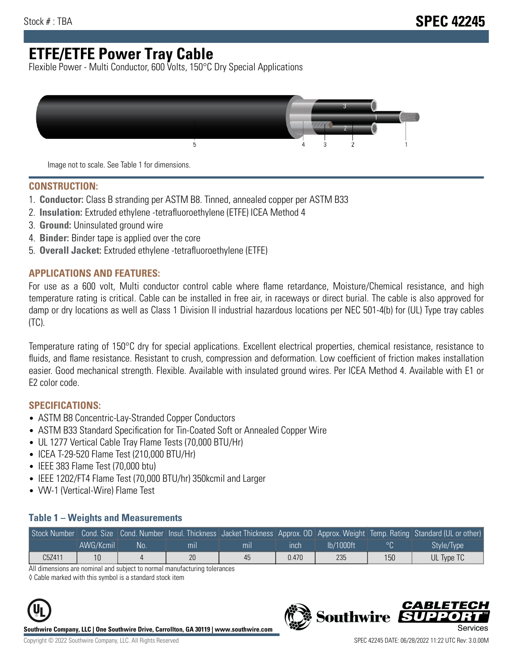# **ETFE/ETFE Power Tray Cable**

Flexible Power - Multi Conductor, 600 Volts, 150°C Dry Special Applications



Image not to scale. See Table 1 for dimensions.

#### **CONSTRUCTION:**

- 1. **Conductor:** Class B stranding per ASTM B8. Tinned, annealed copper per ASTM B33
- 2. **Insulation:** Extruded ethylene -tetrafluoroethylene (ETFE) ICEA Method 4
- 3. **Ground:** Uninsulated ground wire
- 4. **Binder:** Binder tape is applied over the core
- 5. **Overall Jacket:** Extruded ethylene -tetrafluoroethylene (ETFE)

### **APPLICATIONS AND FEATURES:**

For use as a 600 volt, Multi conductor control cable where flame retardance, Moisture/Chemical resistance, and high temperature rating is critical. Cable can be installed in free air, in raceways or direct burial. The cable is also approved for damp or dry locations as well as Class 1 Division II industrial hazardous locations per NEC 501-4(b) for (UL) Type tray cables (TC).

Temperature rating of 150°C dry for special applications. Excellent electrical properties, chemical resistance, resistance to fluids, and flame resistance. Resistant to crush, compression and deformation. Low coefficient of friction makes installation easier. Good mechanical strength. Flexible. Available with insulated ground wires. Per ICEA Method 4. Available with E1 or E2 color code.

### **SPECIFICATIONS:**

- ASTM B8 Concentric-Lay-Stranded Copper Conductors
- ASTM B33 Standard Specification for Tin-Coated Soft or Annealed Copper Wire
- UL 1277 Vertical Cable Tray Flame Tests (70,000 BTU/Hr)
- ICEA T-29-520 Flame Test (210,000 BTU/Hr)
- IEEE 383 Flame Test (70,000 btu)
- IEEE 1202/FT4 Flame Test (70,000 BTU/hr) 350kcmil and Larger
- VW-1 (Vertical-Wire) Flame Test

#### **Table 1 – Weights and Measurements**

|        |           |     |     |     |       |           |     | Stock Number Cond. Size Cond. Number Insul. Thickness Jacket Thickness Approx. OD Approx. Weight Temp. Rating Standard (UL or other) |
|--------|-----------|-----|-----|-----|-------|-----------|-----|--------------------------------------------------------------------------------------------------------------------------------------|
|        | AWG/Kcmil | .No | mıl | mil | ınch  | lb/1000ft |     | Style/Type <sup>1</sup>                                                                                                              |
| C5Z411 |           |     | 20  | 45  | 0.470 | 235       | 150 | UL Type TC                                                                                                                           |

All dimensions are nominal and subject to normal manufacturing tolerances

◊ Cable marked with this symbol is a standard stock item



**Southwire Company, LLC | One Southwire Drive, Carrollton, GA 30119 | www.southwire.com**

CARLET